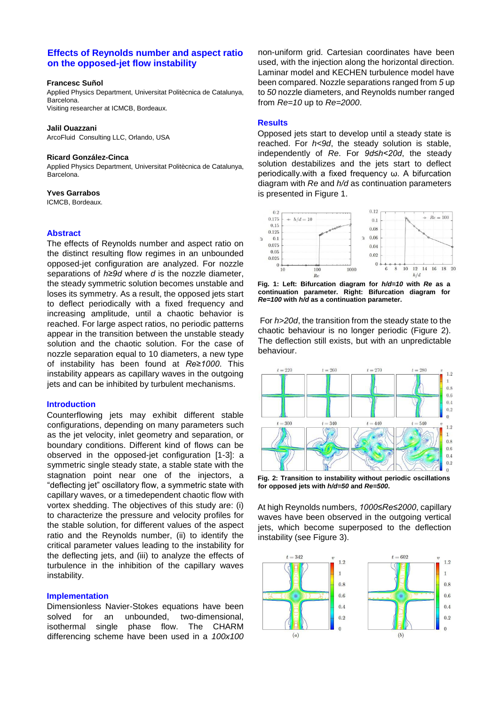# **Effects of Reynolds number and aspect ratio on the opposed-jet flow instability**

#### **Francesc Suñol**

Applied Physics Department, Universitat Politècnica de Catalunya, Barcelona. Visiting researcher at ICMCB, Bordeaux.

#### **Jalil Ouazzani**

ArcoFluid Consulting LLC, Orlando, USA

### **Ricard González-Cinca**

Applied Physics Department, Universitat Politècnica de Catalunya, Barcelona.

### **Yves Garrabos**

ICMCB, Bordeaux.

## **Abstract**

The effects of Reynolds number and aspect ratio on the distinct resulting flow regimes in an unbounded opposed-jet configuration are analyzed. For nozzle separations of *h≥9d* where *d* is the nozzle diameter, the steady symmetric solution becomes unstable and loses its symmetry. As a result, the opposed jets start to deflect periodically with a fixed frequency and increasing amplitude, until a chaotic behavior is reached. For large aspect ratios, no periodic patterns appear in the transition between the unstable steady solution and the chaotic solution. For the case of nozzle separation equal to 10 diameters, a new type of instability has been found at *Re≥1000*. This instability appears as capillary waves in the outgoing jets and can be inhibited by turbulent mechanisms.

### **Introduction**

Counterflowing jets may exhibit different stable configurations, depending on many parameters such as the jet velocity, inlet geometry and separation, or boundary conditions. Different kind of flows can be observed in the opposed-jet configuration [1-3]: a symmetric single steady state, a stable state with the stagnation point near one of the injectors, a "deflecting jet" oscillatory flow, a symmetric state with capillary waves, or a timedependent chaotic flow with vortex shedding. The objectives of this study are: (i) to characterize the pressure and velocity profiles for the stable solution, for different values of the aspect ratio and the Reynolds number, (ii) to identify the critical parameter values leading to the instability for the deflecting jets, and (iii) to analyze the effects of turbulence in the inhibition of the capillary waves instability.

### **Implementation**

Dimensionless Navier-Stokes equations have been solved for an unbounded, two-dimensional, isothermal single phase flow. The CHARM differencing scheme have been used in a *100x100* non-uniform grid. Cartesian coordinates have been used, with the injection along the horizontal direction. Laminar model and KECHEN turbulence model have been compared. Nozzle separations ranged from *5* up to *50* nozzle diameters, and Reynolds number ranged from *Re=10* up to *Re=2000*.

### **Results**

Opposed jets start to develop until a steady state is reached. For *h<9d*, the steady solution is stable, independently of *Re*. For *9d≤h<20d*, the steady solution destabilizes and the jets start to deflect periodically.with a fixed frequency ω. A bifurcation diagram with *Re* and *h/d* as continuation parameters is presented in Figure 1.



**Fig. 1: Left: Bifurcation diagram for** *h/d=10* **with** *Re* **as a continuation parameter. Right: Bifurcation diagram for**  *Re=100* **with** *h/d* **as a continuation parameter.** 

For *h>20d*, the transition from the steady state to the chaotic behaviour is no longer periodic (Figure 2). The deflection still exists, but with an unpredictable behaviour.



**Fig. 2: Transition to instability without periodic oscillations for opposed jets with** *h/d=50* **and** *Re=500***.** 

At high Reynolds numbers, *1000≤Re≤2000*, capillary waves have been observed in the outgoing vertical jets, which become superposed to the deflection instability (see Figure 3).